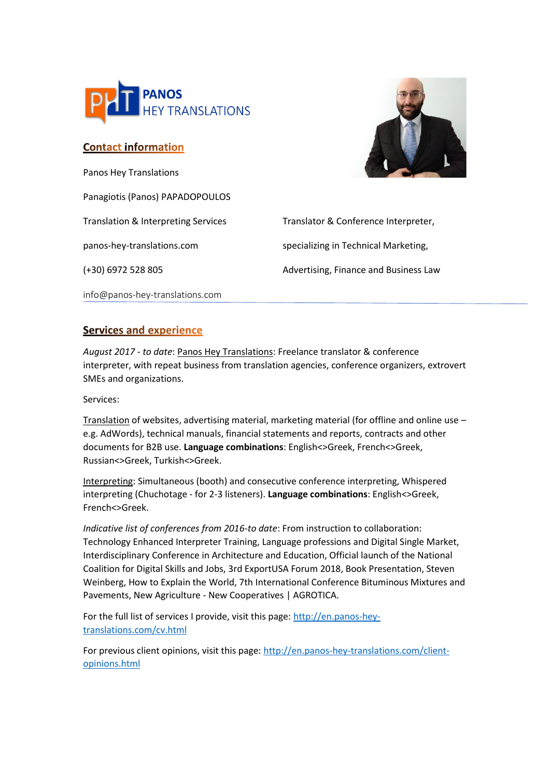

## **Contact information**

Panos Hey Translations Panagiotis (Panos) PAPADOPOULOS panos-hey-translations.com specializing in Technical Marketing,

Translation & Interpreting Services Translator & Conference Interpreter, (+30) 6972 528 805 Advertising, Finance and Business Law

info@panos-hey-translations.com

## **Services and experience**

*August 2017 - to date*: Panos Hey Translations: Freelance translator & conference interpreter, with repeat business from translation agencies, conference organizers, extrovert SMEs and organizations.

Services:

Translation of websites, advertising material, marketing material (for offline and online use – e.g. AdWords), technical manuals, financial statements and reports, contracts and other documents for B2B use. **Language combinations**: English<>Greek, French<>Greek, Russian<>Greek, Turkish<>Greek.

Interpreting: Simultaneous (booth) and consecutive conference interpreting, Whispered interpreting (Chuchotage - for 2-3 listeners). **Language combinations**: English<>Greek, French<>Greek.

*Indicative list of conferences from 2016-to date*: From instruction to collaboration: Technology Enhanced Interpreter Training, Language professions and Digital Single Market, Interdisciplinary Conference in Architecture and Education, Official launch of the National Coalition for Digital Skills and Jobs, 3rd ExportUSA Forum 2018, Book Presentation, Steven Weinberg, How to Explain the World, 7th International Conference Bituminous Mixtures and Pavements, New Agriculture - New Cooperatives | AGROTICA.

For the full list of services I provide, visit this page[: http://en.panos-hey](http://en.panos-hey-translations.com/cv.html)[translations.com/cv.html](http://en.panos-hey-translations.com/cv.html)

For previous client opinions, visit this page: [http://en.panos-hey-translations.com/client](http://en.panos-hey-translations.com/client-opinions.html)[opinions.html](http://en.panos-hey-translations.com/client-opinions.html)